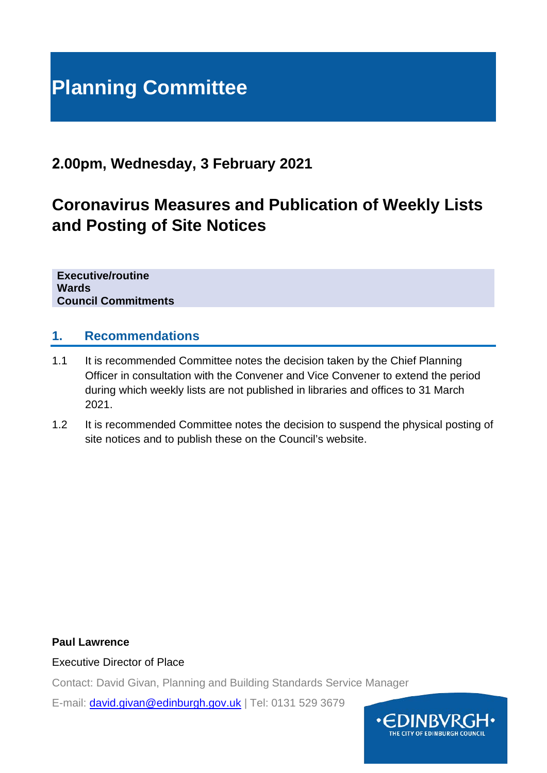# **Planning Committee**

### **2.00pm, Wednesday, 3 February 2021**

## **Coronavirus Measures and Publication of Weekly Lists and Posting of Site Notices**

**Executive/routine Wards Council Commitments**

#### **1. Recommendations**

- 1.1 It is recommended Committee notes the decision taken by the Chief Planning Officer in consultation with the Convener and Vice Convener to extend the period during which weekly lists are not published in libraries and offices to 31 March 2021.
- 1.2 It is recommended Committee notes the decision to suspend the physical posting of site notices and to publish these on the Council's website.

#### **Paul Lawrence**

#### Executive Director of Place

Contact: David Givan, Planning and Building Standards Service Manager

E-mail: [david.givan@edinburgh.gov.uk](mailto:david.givan@edinburgh.gov.uk) | Tel: 0131 529 3679

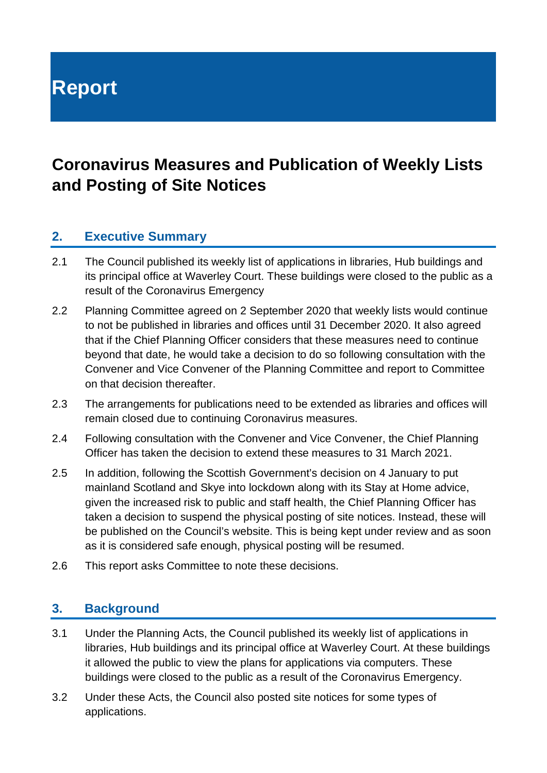# **Report**

## **Coronavirus Measures and Publication of Weekly Lists and Posting of Site Notices**

#### **2. Executive Summary**

- 2.1 The Council published its weekly list of applications in libraries, Hub buildings and its principal office at Waverley Court. These buildings were closed to the public as a result of the Coronavirus Emergency
- 2.2 Planning Committee agreed on 2 September 2020 that weekly lists would continue to not be published in libraries and offices until 31 December 2020. It also agreed that if the Chief Planning Officer considers that these measures need to continue beyond that date, he would take a decision to do so following consultation with the Convener and Vice Convener of the Planning Committee and report to Committee on that decision thereafter.
- 2.3 The arrangements for publications need to be extended as libraries and offices will remain closed due to continuing Coronavirus measures.
- 2.4 Following consultation with the Convener and Vice Convener, the Chief Planning Officer has taken the decision to extend these measures to 31 March 2021.
- 2.5 In addition, following the Scottish Government's decision on 4 January to put mainland Scotland and Skye into lockdown along with its Stay at Home advice, given the increased risk to public and staff health, the Chief Planning Officer has taken a decision to suspend the physical posting of site notices. Instead, these will be published on the Council's website. This is being kept under review and as soon as it is considered safe enough, physical posting will be resumed.
- 2.6 This report asks Committee to note these decisions.

#### **3. Background**

- 3.1 Under the Planning Acts, the Council published its weekly list of applications in libraries, Hub buildings and its principal office at Waverley Court. At these buildings it allowed the public to view the plans for applications via computers. These buildings were closed to the public as a result of the Coronavirus Emergency.
- 3.2 Under these Acts, the Council also posted site notices for some types of applications.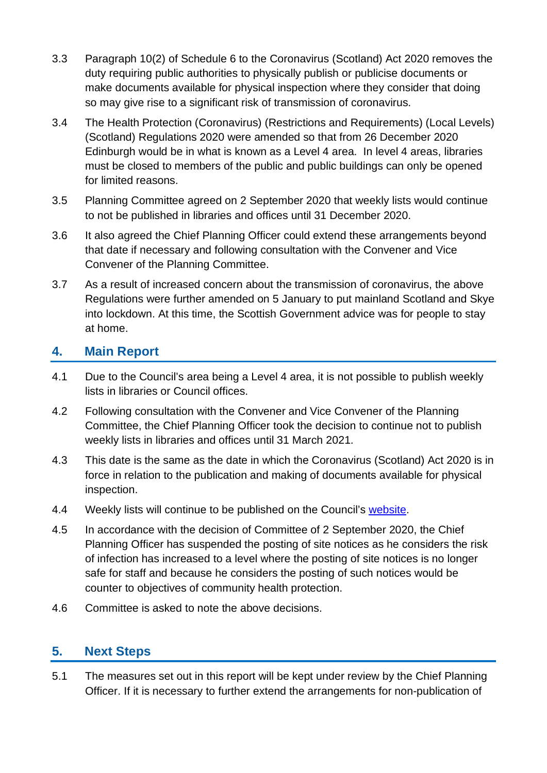- 3.3 Paragraph 10(2) of Schedule 6 to the Coronavirus (Scotland) Act 2020 removes the duty requiring public authorities to physically publish or publicise documents or make documents available for physical inspection where they consider that doing so may give rise to a significant risk of transmission of coronavirus.
- 3.4 The Health Protection (Coronavirus) (Restrictions and Requirements) (Local Levels) (Scotland) Regulations 2020 were amended so that from 26 December 2020 Edinburgh would be in what is known as a Level 4 area. In level 4 areas, libraries must be closed to members of the public and public buildings can only be opened for limited reasons.
- 3.5 Planning Committee agreed on 2 September 2020 that weekly lists would continue to not be published in libraries and offices until 31 December 2020.
- 3.6 It also agreed the Chief Planning Officer could extend these arrangements beyond that date if necessary and following consultation with the Convener and Vice Convener of the Planning Committee.
- 3.7 As a result of increased concern about the transmission of coronavirus, the above Regulations were further amended on 5 January to put mainland Scotland and Skye into lockdown. At this time, the Scottish Government advice was for people to stay at home.

#### **4. Main Report**

- 4.1 Due to the Council's area being a Level 4 area, it is not possible to publish weekly lists in libraries or Council offices.
- 4.2 Following consultation with the Convener and Vice Convener of the Planning Committee, the Chief Planning Officer took the decision to continue not to publish weekly lists in libraries and offices until 31 March 2021.
- 4.3 This date is the same as the date in which the Coronavirus (Scotland) Act 2020 is in force in relation to the publication and making of documents available for physical inspection.
- 4.4 Weekly lists will continue to be published on the Council's [website.](https://www.edinburgh.gov.uk/planningweeklylists)
- 4.5 In accordance with the decision of Committee of 2 September 2020, the Chief Planning Officer has suspended the posting of site notices as he considers the risk of infection has increased to a level where the posting of site notices is no longer safe for staff and because he considers the posting of such notices would be counter to objectives of community health protection.
- 4.6 Committee is asked to note the above decisions.

#### **5. Next Steps**

5.1 The measures set out in this report will be kept under review by the Chief Planning Officer. If it is necessary to further extend the arrangements for non-publication of